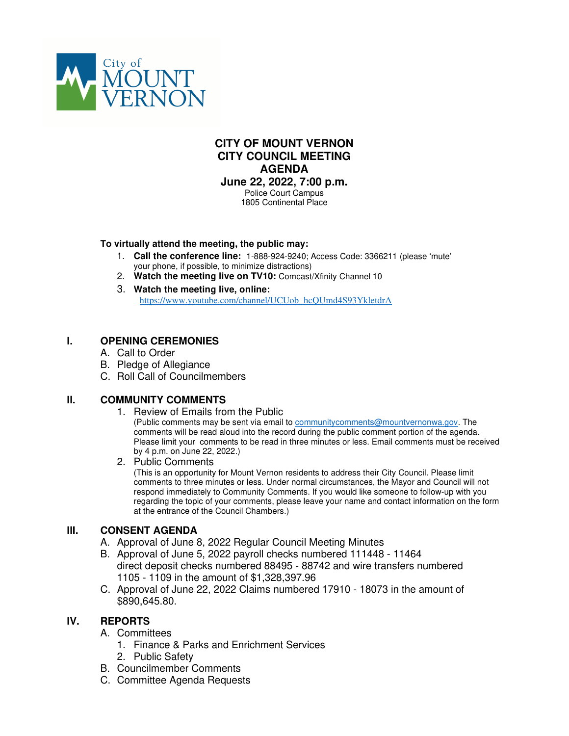

# **CITY OF MOUNT VERNON CITY COUNCIL MEETING AGENDA June 22, 2022, 7:00 p.m.** Police Court Campus

1805 Continental Place

## **To virtually attend the meeting, the public may:**

- 1. **Call the conference line:** 1-888-924-9240; Access Code: 3366211 (please 'mute' your phone, if possible, to minimize distractions)
- 2. **Watch the meeting live on TV10:** Comcast/Xfinity Channel 10
- 3. **Watch the meeting live, online:** https://www.youtube.com/channel/UCUob\_hcQUmd4S93YkletdrA

# **I. OPENING CEREMONIES**

- A. Call to Order
- B. Pledge of Allegiance
- C. Roll Call of Councilmembers

# **II. COMMUNITY COMMENTS**

- 1. Review of Emails from the Public (Public comments may be sent via email to communitycomments@mountvernonwa.gov. The comments will be read aloud into the record during the public comment portion of the agenda. Please limit your comments to be read in three minutes or less. Email comments must be received by 4 p.m. on June 22, 2022.)
- 2. Public Comments

(This is an opportunity for Mount Vernon residents to address their City Council. Please limit comments to three minutes or less. Under normal circumstances, the Mayor and Council will not respond immediately to Community Comments. If you would like someone to follow-up with you regarding the topic of your comments, please leave your name and contact information on the form at the entrance of the Council Chambers.)

# **III. CONSENT AGENDA**

- A. Approval of June 8, 2022 Regular Council Meeting Minutes
- B. Approval of June 5, 2022 payroll checks numbered 111448 11464 direct deposit checks numbered 88495 - 88742 and wire transfers numbered 1105 - 1109 in the amount of \$1,328,397.96
- C. Approval of June 22, 2022 Claims numbered 17910 18073 in the amount of \$890,645.80.

# **IV. REPORTS**

- A. Committees
	- 1. Finance & Parks and Enrichment Services
	- 2. Public Safety
- B. Councilmember Comments
- C. Committee Agenda Requests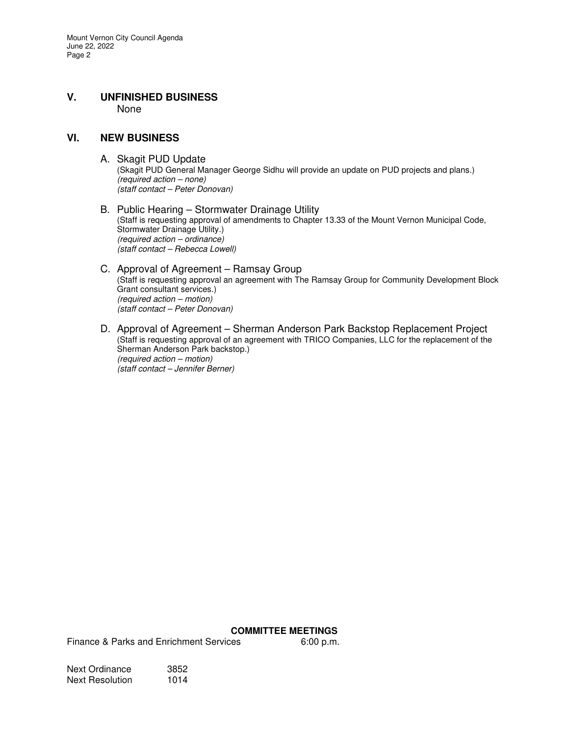## **V. UNFINISHED BUSINESS**  None

## **VI. NEW BUSINESS**

A. Skagit PUD Update

(Skagit PUD General Manager George Sidhu will provide an update on PUD projects and plans.) (required action – none) (staff contact – Peter Donovan)

B. Public Hearing – Stormwater Drainage Utility (Staff is requesting approval of amendments to Chapter 13.33 of the Mount Vernon Municipal Code, Stormwater Drainage Utility.) (required action – ordinance) (staff contact – Rebecca Lowell)

#### C. Approval of Agreement – Ramsay Group (Staff is requesting approval an agreement with The Ramsay Group for Community Development Block Grant consultant services.) (required action – motion) (staff contact – Peter Donovan)

D. Approval of Agreement – Sherman Anderson Park Backstop Replacement Project (Staff is requesting approval of an agreement with TRICO Companies, LLC for the replacement of the Sherman Anderson Park backstop.) (required action – motion) (staff contact – Jennifer Berner)

#### **COMMITTEE MEETINGS**

Finance & Parks and Enrichment Services 6:00 p.m.

Next Ordinance 3852<br>Next Resolution 1014 Next Resolution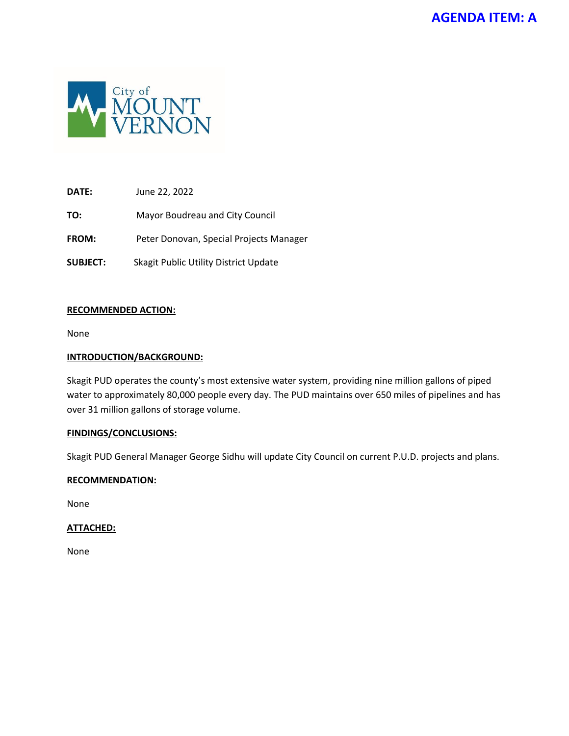

**DATE:** June 22, 2022

**TO:** Mayor Boudreau and City Council

**FROM:** Peter Donovan, Special Projects Manager

**SUBJECT:** Skagit Public Utility District Update

## **RECOMMENDED ACTION:**

None

## **INTRODUCTION/BACKGROUND:**

Skagit PUD operates the county's most extensive water system, providing nine million gallons of piped water to approximately 80,000 people every day. The PUD maintains over 650 miles of pipelines and has over 31 million gallons of storage volume.

## **FINDINGS/CONCLUSIONS:**

Skagit PUD General Manager George Sidhu will update City Council on current P.U.D. projects and plans.

#### **RECOMMENDATION:**

None

## **ATTACHED:**

None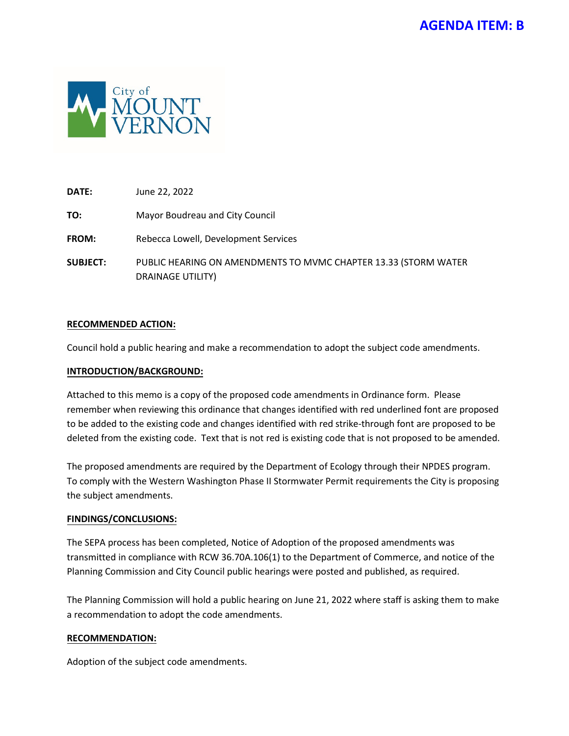

**DATE:** June 22, 2022

**TO:** Mayor Boudreau and City Council

**FROM:** Rebecca Lowell, Development Services

**SUBJECT:** PUBLIC HEARING ON AMENDMENTS TO MVMC CHAPTER 13.33 (STORM WATER DRAINAGE UTILITY)

## **RECOMMENDED ACTION:**

Council hold a public hearing and make a recommendation to adopt the subject code amendments.

## **INTRODUCTION/BACKGROUND:**

Attached to this memo is a copy of the proposed code amendments in Ordinance form. Please remember when reviewing this ordinance that changes identified with red underlined font are proposed to be added to the existing code and changes identified with red strike-through font are proposed to be deleted from the existing code. Text that is not red is existing code that is not proposed to be amended.

The proposed amendments are required by the Department of Ecology through their NPDES program. To comply with the Western Washington Phase II Stormwater Permit requirements the City is proposing the subject amendments.

## **FINDINGS/CONCLUSIONS:**

The SEPA process has been completed, Notice of Adoption of the proposed amendments was transmitted in compliance with RCW 36.70A.106(1) to the Department of Commerce, and notice of the Planning Commission and City Council public hearings were posted and published, as required.

The Planning Commission will hold a public hearing on June 21, 2022 where staff is asking them to make a recommendation to adopt the code amendments.

## **RECOMMENDATION:**

Adoption of the subject code amendments.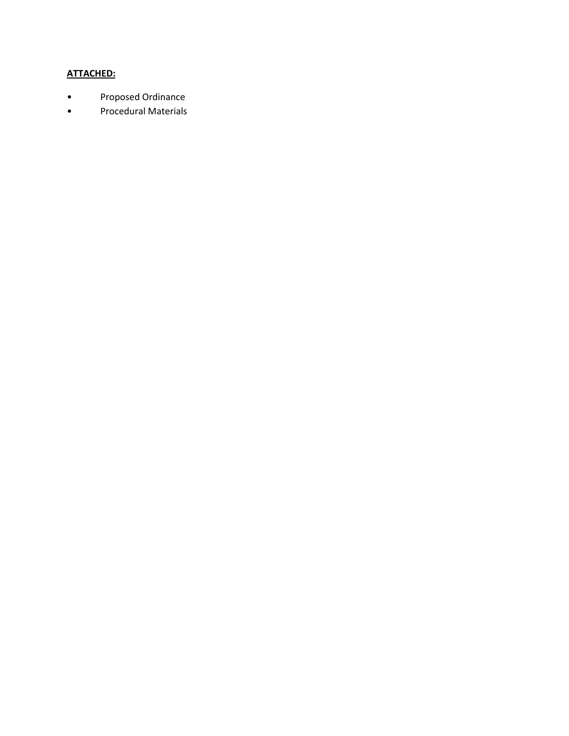# **ATTACHED:**

- Proposed Ordinance
- Procedural Materials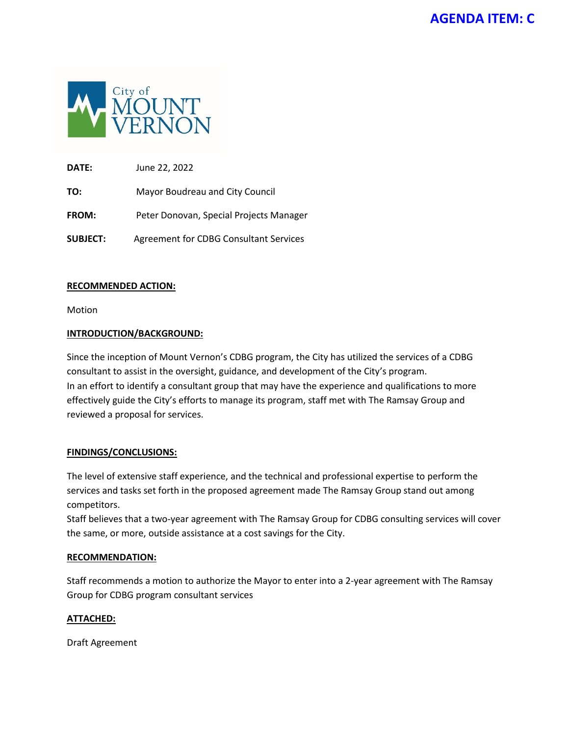

**DATE:** June 22, 2022

**TO:** Mayor Boudreau and City Council

**FROM:** Peter Donovan, Special Projects Manager

**SUBJECT:** Agreement for CDBG Consultant Services

## **RECOMMENDED ACTION:**

Motion

# **INTRODUCTION/BACKGROUND:**

Since the inception of Mount Vernon's CDBG program, the City has utilized the services of a CDBG consultant to assist in the oversight, guidance, and development of the City's program. In an effort to identify a consultant group that may have the experience and qualifications to more effectively guide the City's efforts to manage its program, staff met with The Ramsay Group and reviewed a proposal for services.

# **FINDINGS/CONCLUSIONS:**

The level of extensive staff experience, and the technical and professional expertise to perform the services and tasks set forth in the proposed agreement made The Ramsay Group stand out among competitors.

Staff believes that a two-year agreement with The Ramsay Group for CDBG consulting services will cover the same, or more, outside assistance at a cost savings for the City.

# **RECOMMENDATION:**

Staff recommends a motion to authorize the Mayor to enter into a 2-year agreement with The Ramsay Group for CDBG program consultant services

## **ATTACHED:**

Draft Agreement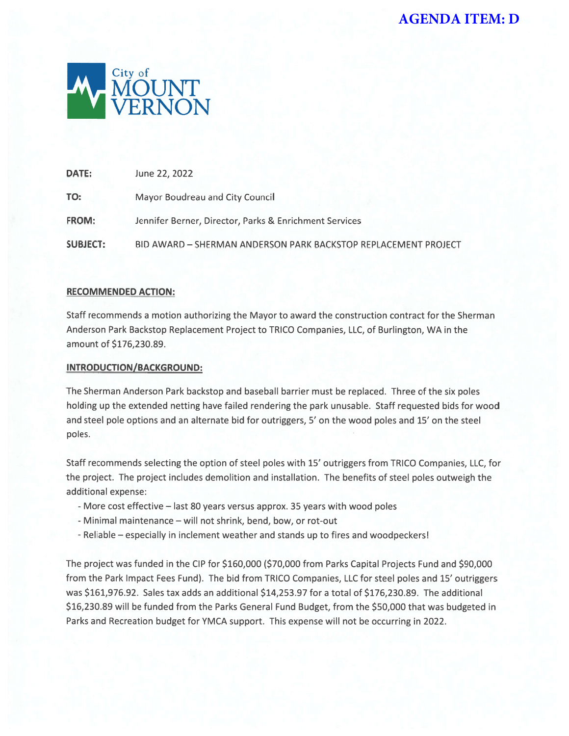

| <b>DATE:</b>    | June 22, 2022                                                  |
|-----------------|----------------------------------------------------------------|
| TO:             | Mayor Boudreau and City Council                                |
| <b>FROM:</b>    | Jennifer Berner, Director, Parks & Enrichment Services         |
| <b>SUBJECT:</b> | BID AWARD - SHERMAN ANDERSON PARK BACKSTOP REPLACEMENT PROJECT |

## **RECOMMENDED ACTION:**

Staff recommends a motion authorizing the Mayor to award the construction contract for the Sherman Anderson Park Backstop Replacement Project to TRICO Companies, LLC, of Burlington, WA in the amount of \$176,230.89.

## **INTRODUCTION/BACKGROUND:**

The Sherman Anderson Park backstop and baseball barrier must be replaced. Three of the six poles holding up the extended netting have failed rendering the park unusable. Staff requested bids for wood and steel pole options and an alternate bid for outriggers, 5' on the wood poles and 15' on the steel poles.

Staff recommends selecting the option of steel poles with 15' outriggers from TRICO Companies, LLC, for the project. The project includes demolition and installation. The benefits of steel poles outweigh the additional expense:

- More cost effective last 80 years versus approx. 35 years with wood poles
- Minimal maintenance will not shrink, bend, bow, or rot-out
- Reliable especially in inclement weather and stands up to fires and woodpeckers!

The project was funded in the CIP for \$160,000 (\$70,000 from Parks Capital Projects Fund and \$90,000 from the Park Impact Fees Fund). The bid from TRICO Companies, LLC for steel poles and 15' outriggers was \$161,976.92. Sales tax adds an additional \$14,253.97 for a total of \$176,230.89. The additional \$16,230.89 will be funded from the Parks General Fund Budget, from the \$50,000 that was budgeted in Parks and Recreation budget for YMCA support. This expense will not be occurring in 2022.